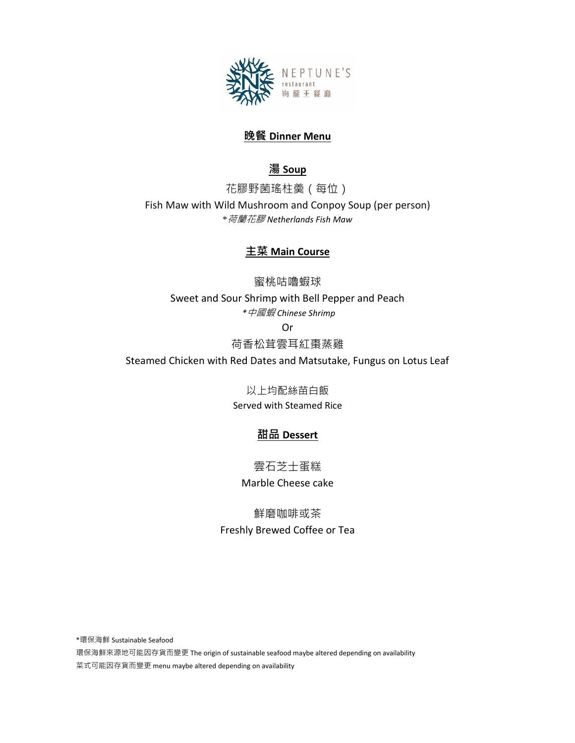

## **晚餐 Dinner Menu**

## **湯 Soup**

花膠野菌瑤柱羮(每位) Fish Maw with Wild Mushroom and Conpoy Soup (per person) \*荷蘭花膠 *Netherlands Fish Maw*

### **主菜 Main Course**

蜜桃咕嚕蝦球 Sweet and Sour Shrimp with Bell Pepper and Peach *\**中國蝦 *Chinese Shrimp* Or 荷香松茸雲耳紅棗蒸雞 Steamed Chicken with Red Dates and Matsutake, Fungus on Lotus Leaf

> 以上均配絲苗白飯 Served with Steamed Rice

### **甜品 Dessert**

雲石芝士蛋糕 Marble Cheese cake

鮮磨咖啡或茶 Freshly Brewed Coffee or Tea

\*環保海鮮 Sustainable Seafood 環保海鮮來源地可能因存貨而變更 The origin of sustainable seafood maybe altered depending on availability 菜式可能因存貨而變更 menu maybe altered depending on availability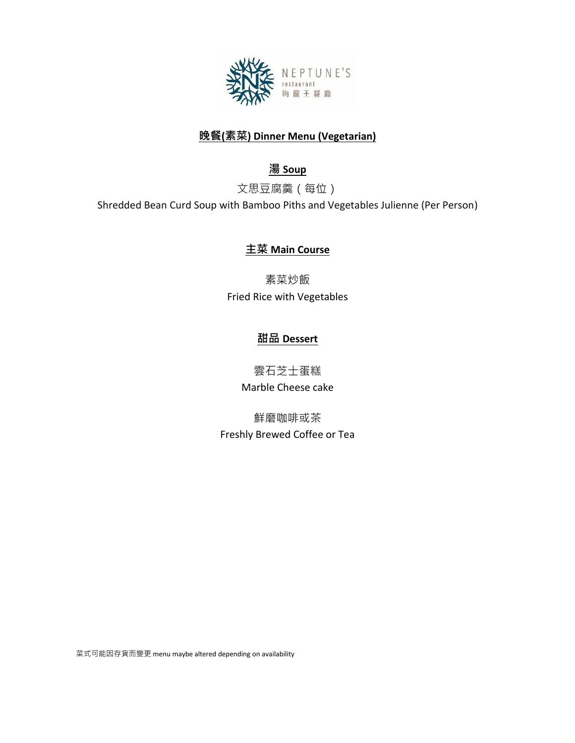

## **晚餐(素菜) Dinner Menu (Vegetarian)**

# **湯 Soup**

文思豆腐羹(每位)

Shredded Bean Curd Soup with Bamboo Piths and Vegetables Julienne (Per Person)

## **主菜 Main Course**

素菜炒飯 Fried Rice with Vegetables

# **甜品 Dessert**

雲石芝士蛋糕 Marble Cheese cake

鮮磨咖啡或茶 Freshly Brewed Coffee or Tea

菜式可能因存貨而變更 menu maybe altered depending on availability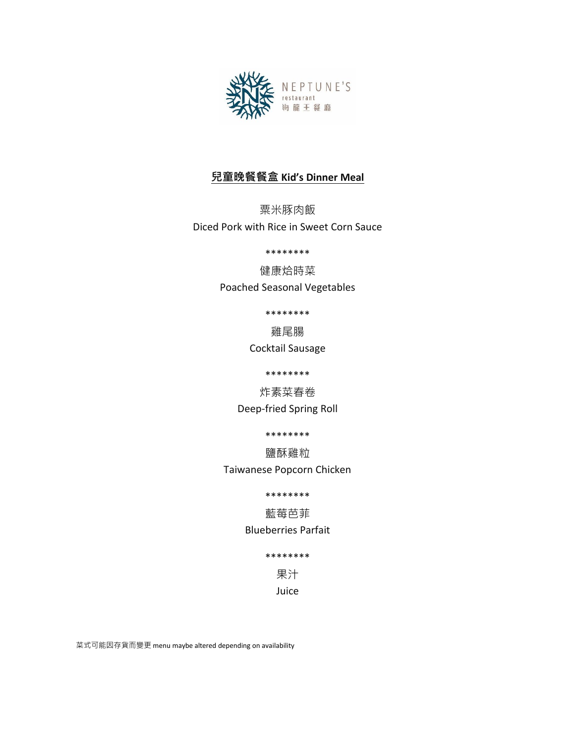

# **兒童晚餐餐盒 Kid's Dinner Meal**

粟米豚肉飯 Diced Pork with Rice in Sweet Corn Sauce

\*\*\*\*\*\*\*\*

健康烚時菜

Poached Seasonal Vegetables

\*\*\*\*\*\*\*\*

雞尾腸

Cocktail Sausage

\*\*\*\*\*\*\*\*

炸素菜春卷 Deep-fried Spring Roll

\*\*\*\*\*\*\*\*

鹽酥雞粒 Taiwanese Popcorn Chicken

#### \*\*\*\*\*\*\*\*

#### 藍莓芭菲

### Blueberries Parfait

#### \*\*\*\*\*\*\*\*

果汁

Juice

菜式可能因存貨而變更 menu maybe altered depending on availability